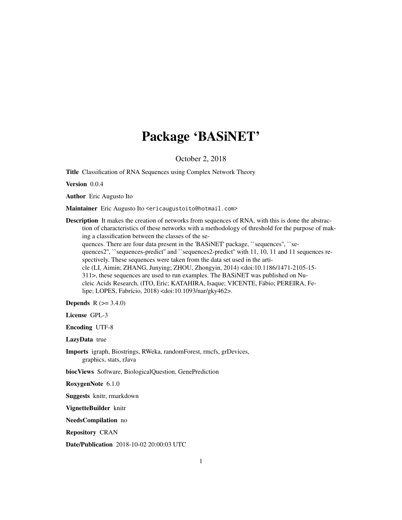## Package 'BASiNET'

October 2, 2018

Title Classification of RNA Sequences using Complex Network Theory

Version 0.0.4

Author Eric Augusto Ito

Maintainer Eric Augusto Ito <ericaugustoito@hotmail.com>

Description It makes the creation of networks from sequences of RNA, with this is done the abstraction of characteristics of these networks with a methodology of threshold for the purpose of making a classification between the classes of the sequences. There are four data present in the 'BASiNET' package, ``sequences'', ``sequences2", ``sequences-predict" and ``sequences2-predict" with 11, 10, 11 and 11 sequences respectively. These sequences were taken from the data set used in the article (LI, Aimin; ZHANG, Junying; ZHOU, Zhongyin, 2014) <doi:10.1186/1471-2105-15- 311>, these sequences are used to run examples. The BASiNET was published on Nucleic Acids Research, (ITO, Eric; KATAHIRA, Isaque; VICENTE, Fábio; PEREIRA, Felipe; LOPES, Fabrício, 2018) <doi:10.1093/nar/gky462>.

**Depends**  $R (= 3.4.0)$ 

License GPL-3

Encoding UTF-8

LazyData true

Imports igraph, Biostrings, RWeka, randomForest, rmcfs, grDevices, graphics, stats, rJava

biocViews Software, BiologicalQuestion, GenePrediction

RoxygenNote 6.1.0

Suggests knitr, rmarkdown

VignetteBuilder knitr

NeedsCompilation no

Repository CRAN

Date/Publication 2018-10-02 20:00:03 UTC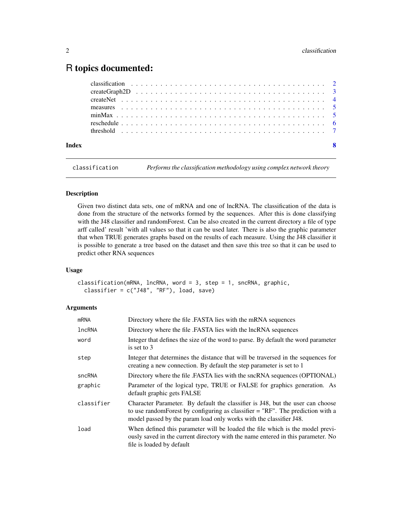### <span id="page-1-0"></span>R topics documented:

classification *Performs the classification methodology using complex network theory*

#### Description

Given two distinct data sets, one of mRNA and one of lncRNA. The classification of the data is done from the structure of the networks formed by the sequences. After this is done classifying with the J48 classifier and randomForest. Can be also created in the current directory a file of type arff called' result 'with all values so that it can be used later. There is also the graphic parameter that when TRUE generates graphs based on the results of each measure. Using the J48 classifier it is possible to generate a tree based on the dataset and then save this tree so that it can be used to predict other RNA sequences

#### Usage

classification(mRNA, lncRNA, word = 3, step = 1, sncRNA, graphic, classifier =  $c("J48", "RF")$ , load, save)

#### Arguments

| <b>mRNA</b>   | Directory where the file .FASTA lies with the mRNA sequences                                                                                                                                                                              |
|---------------|-------------------------------------------------------------------------------------------------------------------------------------------------------------------------------------------------------------------------------------------|
| <b>lncRNA</b> | Directory where the file .FASTA lies with the lncRNA sequences                                                                                                                                                                            |
| word          | Integer that defines the size of the word to parse. By default the word parameter<br>is set to 3                                                                                                                                          |
| step          | Integer that determines the distance that will be traversed in the sequences for<br>creating a new connection. By default the step parameter is set to 1                                                                                  |
| sncRNA        | Directory where the file .FASTA lies with the sncRNA sequences (OPTIONAL)                                                                                                                                                                 |
| graphic       | Parameter of the logical type, TRUE or FALSE for graphics generation. As<br>default graphic gets FALSE                                                                                                                                    |
| classifier    | Character Parameter. By default the classifier is J48, but the user can choose<br>to use random Forest by configuring as classifier $=$ "RF". The prediction with a<br>model passed by the param load only works with the classifier J48. |
| load          | When defined this parameter will be loaded the file which is the model previ-<br>ously saved in the current directory with the name entered in this parameter. No<br>file is loaded by default                                            |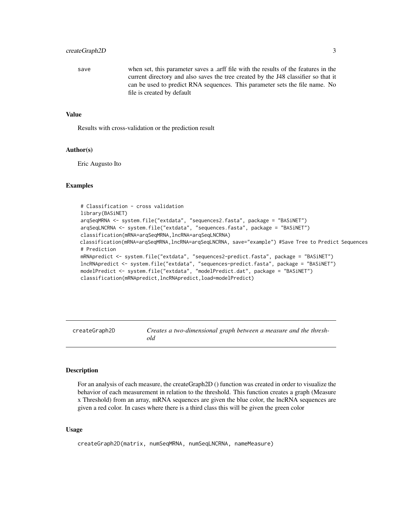#### <span id="page-2-0"></span>createGraph2D 3

save when set, this parameter saves a .arff file with the results of the features in the current directory and also saves the tree created by the J48 classifier so that it can be used to predict RNA sequences. This parameter sets the file name. No file is created by default

#### Value

Results with cross-validation or the prediction result

#### Author(s)

Eric Augusto Ito

#### Examples

```
# Classification - cross validation
library(BASiNET)
arqSeqMRNA <- system.file("extdata", "sequences2.fasta", package = "BASiNET")
arqSeqLNCRNA <- system.file("extdata", "sequences.fasta", package = "BASiNET")
classification(mRNA=arqSeqMRNA,lncRNA=arqSeqLNCRNA)
classification(mRNA=arqSeqMRNA,lncRNA=arqSeqLNCRNA, save="example") #Save Tree to Predict Sequences
# Prediction
mRNApredict <- system.file("extdata", "sequences2-predict.fasta", package = "BASiNET")
lncRNApredict <- system.file("extdata", "sequences-predict.fasta", package = "BASiNET")
modelPredict <- system.file("extdata", "modelPredict.dat", package = "BASiNET")
classification(mRNApredict,lncRNApredict,load=modelPredict)
```
createGraph2D *Creates a two-dimensional graph between a measure and the threshold*

#### Description

For an analysis of each measure, the createGraph2D () function was created in order to visualize the behavior of each measurement in relation to the threshold. This function creates a graph (Measure x Threshold) from an array, mRNA sequences are given the blue color, the lncRNA sequences are given a red color. In cases where there is a third class this will be given the green color

#### Usage

createGraph2D(matrix, numSeqMRNA, numSeqLNCRNA, nameMeasure)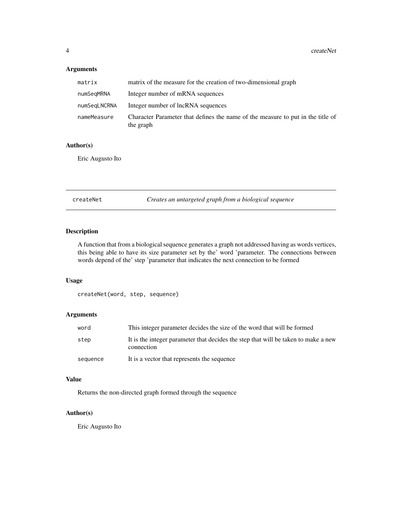#### <span id="page-3-0"></span>Arguments

| matrix       | matrix of the measure for the creation of two-dimensional graph                              |
|--------------|----------------------------------------------------------------------------------------------|
| numSeqMRNA   | Integer number of mRNA sequences                                                             |
| numSeqLNCRNA | Integer number of lncRNA sequences                                                           |
| nameMeasure  | Character Parameter that defines the name of the measure to put in the title of<br>the graph |

#### Author(s)

Eric Augusto Ito

createNet *Creates an untargeted graph from a biological sequence*

#### Description

A function that from a biological sequence generates a graph not addressed having as words vertices, this being able to have its size parameter set by the' word 'parameter. The connections between words depend of the' step 'parameter that indicates the next connection to be formed

#### Usage

createNet(word, step, sequence)

#### Arguments

| word     | This integer parameter decides the size of the word that will be formed                          |
|----------|--------------------------------------------------------------------------------------------------|
| step     | It is the integer parameter that decides the step that will be taken to make a new<br>connection |
| sequence | It is a vector that represents the sequence                                                      |

#### Value

Returns the non-directed graph formed through the sequence

#### Author(s)

Eric Augusto Ito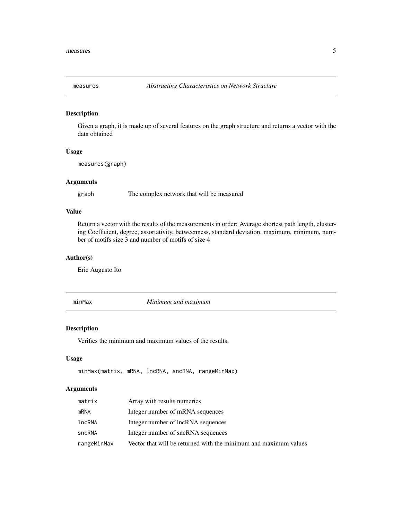<span id="page-4-0"></span>

#### Description

Given a graph, it is made up of several features on the graph structure and returns a vector with the data obtained

#### Usage

measures(graph)

#### Arguments

graph The complex network that will be measured

#### Value

Return a vector with the results of the measurements in order: Average shortest path length, clustering Coefficient, degree, assortativity, betweenness, standard deviation, maximum, minimum, number of motifs size 3 and number of motifs of size 4

#### Author(s)

Eric Augusto Ito

minMax *Minimum and maximum*

#### **Description**

Verifies the minimum and maximum values of the results.

#### Usage

```
minMax(matrix, mRNA, lncRNA, sncRNA, rangeMinMax)
```
#### Arguments

| matrix      | Array with results numerics                                      |
|-------------|------------------------------------------------------------------|
| mRNA        | Integer number of mRNA sequences                                 |
| lncRNA      | Integer number of lncRNA sequences                               |
| sncRNA      | Integer number of sncRNA sequences                               |
| rangeMinMax | Vector that will be returned with the minimum and maximum values |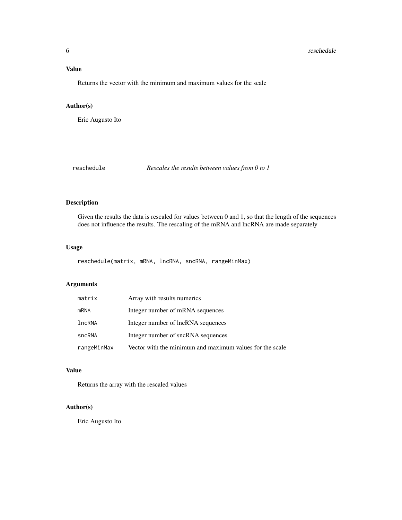#### <span id="page-5-0"></span>Value

Returns the vector with the minimum and maximum values for the scale

#### Author(s)

Eric Augusto Ito

reschedule *Rescales the results between values from 0 to 1*

#### Description

Given the results the data is rescaled for values between 0 and 1, so that the length of the sequences does not influence the results. The rescaling of the mRNA and lncRNA are made separately

#### Usage

reschedule(matrix, mRNA, lncRNA, sncRNA, rangeMinMax)

#### Arguments

| matrix      | Array with results numerics                              |
|-------------|----------------------------------------------------------|
| mRNA        | Integer number of mRNA sequences                         |
| lncRNA      | Integer number of lncRNA sequences                       |
| sncRNA      | Integer number of sncRNA sequences                       |
| rangeMinMax | Vector with the minimum and maximum values for the scale |

#### Value

Returns the array with the rescaled values

#### Author(s)

Eric Augusto Ito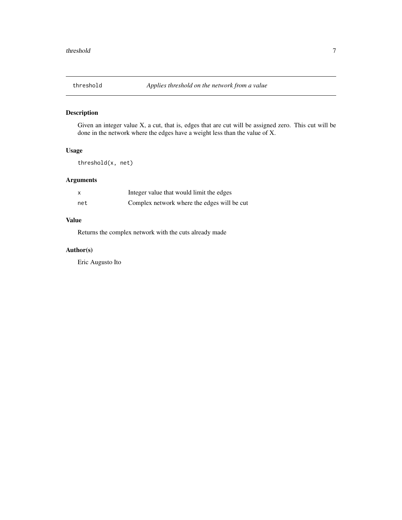#### <span id="page-6-0"></span>Description

Given an integer value X, a cut, that is, edges that are cut will be assigned zero. This cut will be done in the network where the edges have a weight less than the value of X.

#### Usage

threshold(x, net)

#### Arguments

| X   | Integer value that would limit the edges    |
|-----|---------------------------------------------|
| net | Complex network where the edges will be cut |

#### Value

Returns the complex network with the cuts already made

#### Author(s)

Eric Augusto Ito